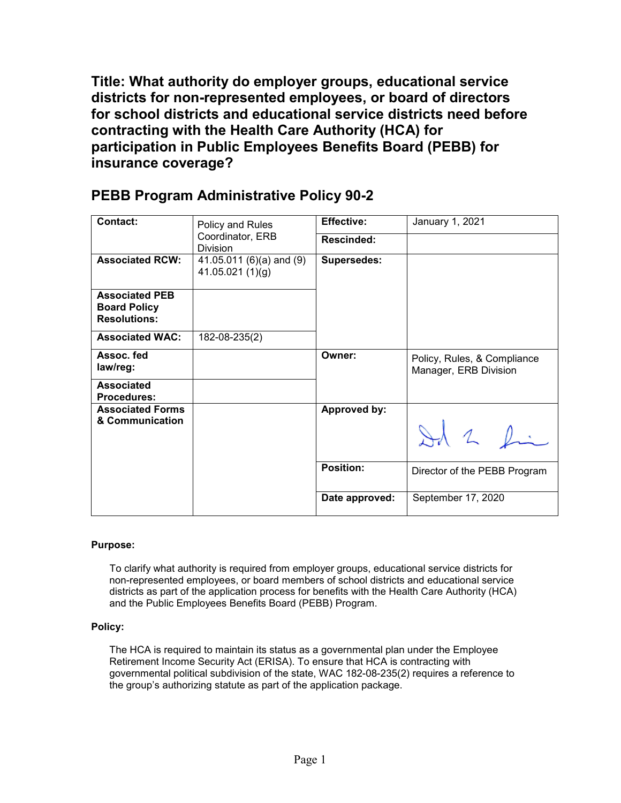**Title: What authority do employer groups, educational service districts for non-represented employees, or board of directors for school districts and educational service districts need before contracting with the Health Care Authority (HCA) for participation in Public Employees Benefits Board (PEBB) for insurance coverage?** 

| <b>Contact:</b>                                                     | Policy and Rules<br>Coordinator, ERB<br><b>Division</b> | <b>Effective:</b>   | January 1, 2021                                      |
|---------------------------------------------------------------------|---------------------------------------------------------|---------------------|------------------------------------------------------|
|                                                                     |                                                         | <b>Rescinded:</b>   |                                                      |
| <b>Associated RCW:</b>                                              | 41.05.011 (6)(a) and (9)<br>41.05.021(1)(g)             | <b>Supersedes:</b>  |                                                      |
| <b>Associated PEB</b><br><b>Board Policy</b><br><b>Resolutions:</b> |                                                         |                     |                                                      |
| <b>Associated WAC:</b>                                              | 182-08-235(2)                                           |                     |                                                      |
| Assoc. fed<br>law/reg:                                              |                                                         | Owner:              | Policy, Rules, & Compliance<br>Manager, ERB Division |
| Associated<br><b>Procedures:</b>                                    |                                                         |                     |                                                      |
| <b>Associated Forms</b><br>& Communication                          |                                                         | <b>Approved by:</b> | Id 2 fin                                             |
|                                                                     |                                                         | <b>Position:</b>    | Director of the PEBB Program                         |
|                                                                     |                                                         | Date approved:      | September 17, 2020                                   |

## **PEBB Program Administrative Policy 90-2**

## **Purpose:**

To clarify what authority is required from employer groups, educational service districts for non-represented employees, or board members of school districts and educational service districts as part of the application process for benefits with the Health Care Authority (HCA) and the Public Employees Benefits Board (PEBB) Program.

## **Policy:**

The HCA is required to maintain its status as a governmental plan under the Employee Retirement Income Security Act (ERISA). To ensure that HCA is contracting with governmental political subdivision of the state, WAC 182-08-235(2) requires a reference to the group's authorizing statute as part of the application package.